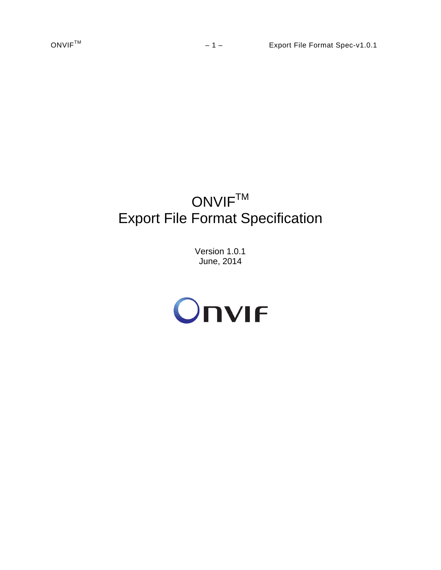# ONVIF<sup>TM</sup> Export File Format Specification

Version 1.0.1 June, 2014

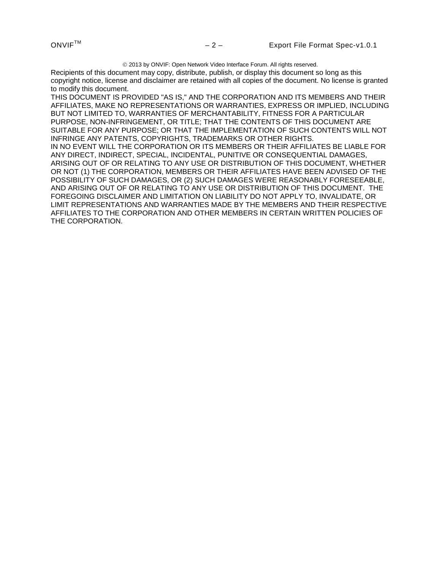2013 by ONVIF: Open Network Video Interface Forum. All rights reserved.

Recipients of this document may copy, distribute, publish, or display this document so long as this copyright notice, license and disclaimer are retained with all copies of the document. No license is granted to modify this document.

THIS DOCUMENT IS PROVIDED "AS IS," AND THE CORPORATION AND ITS MEMBERS AND THEIR AFFILIATES, MAKE NO REPRESENTATIONS OR WARRANTIES, EXPRESS OR IMPLIED, INCLUDING BUT NOT LIMITED TO, WARRANTIES OF MERCHANTABILITY, FITNESS FOR A PARTICULAR PURPOSE, NON-INFRINGEMENT, OR TITLE; THAT THE CONTENTS OF THIS DOCUMENT ARE SUITABLE FOR ANY PURPOSE; OR THAT THE IMPLEMENTATION OF SUCH CONTENTS WILL NOT INFRINGE ANY PATENTS, COPYRIGHTS, TRADEMARKS OR OTHER RIGHTS. IN NO EVENT WILL THE CORPORATION OR ITS MEMBERS OR THEIR AFFILIATES BE LIABLE FOR ANY DIRECT, INDIRECT, SPECIAL, INCIDENTAL, PUNITIVE OR CONSEQUENTIAL DAMAGES, ARISING OUT OF OR RELATING TO ANY USE OR DISTRIBUTION OF THIS DOCUMENT, WHETHER OR NOT (1) THE CORPORATION, MEMBERS OR THEIR AFFILIATES HAVE BEEN ADVISED OF THE POSSIBILITY OF SUCH DAMAGES, OR (2) SUCH DAMAGES WERE REASONABLY FORESEEABLE, AND ARISING OUT OF OR RELATING TO ANY USE OR DISTRIBUTION OF THIS DOCUMENT. THE FOREGOING DISCLAIMER AND LIMITATION ON LIABILITY DO NOT APPLY TO, INVALIDATE, OR LIMIT REPRESENTATIONS AND WARRANTIES MADE BY THE MEMBERS AND THEIR RESPECTIVE AFFILIATES TO THE CORPORATION AND OTHER MEMBERS IN CERTAIN WRITTEN POLICIES OF THE CORPORATION.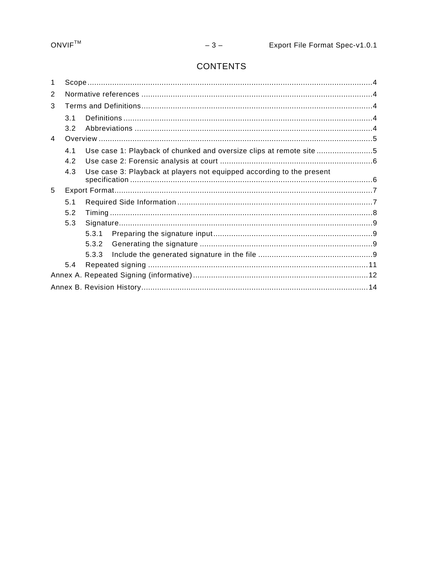## **CONTENTS**

| 1              |     |       |                                                                       |  |  |  |  |  |  |
|----------------|-----|-------|-----------------------------------------------------------------------|--|--|--|--|--|--|
| 2              |     |       |                                                                       |  |  |  |  |  |  |
| 3              |     |       |                                                                       |  |  |  |  |  |  |
|                | 3.1 |       |                                                                       |  |  |  |  |  |  |
|                | 3.2 |       |                                                                       |  |  |  |  |  |  |
| $\overline{4}$ |     |       |                                                                       |  |  |  |  |  |  |
|                | 4.1 |       | Use case 1: Playback of chunked and oversize clips at remote site 5   |  |  |  |  |  |  |
|                | 4.2 |       |                                                                       |  |  |  |  |  |  |
|                | 4.3 |       | Use case 3: Playback at players not equipped according to the present |  |  |  |  |  |  |
| 5              |     |       |                                                                       |  |  |  |  |  |  |
|                | 5.1 |       |                                                                       |  |  |  |  |  |  |
|                | 5.2 |       |                                                                       |  |  |  |  |  |  |
|                | 5.3 |       |                                                                       |  |  |  |  |  |  |
|                |     | 5.3.1 |                                                                       |  |  |  |  |  |  |
|                |     | 5.3.2 |                                                                       |  |  |  |  |  |  |
|                |     | 5.3.3 |                                                                       |  |  |  |  |  |  |
|                | 5.4 |       |                                                                       |  |  |  |  |  |  |
|                |     |       |                                                                       |  |  |  |  |  |  |
|                |     |       |                                                                       |  |  |  |  |  |  |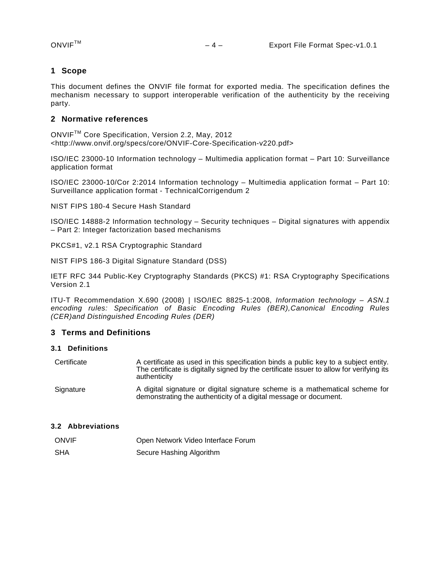#### <span id="page-3-0"></span>**1 Scope**

This document defines the ONVIF file format for exported media. The specification defines the mechanism necessary to support interoperable verification of the authenticity by the receiving party.

#### <span id="page-3-1"></span>**2 Normative references**

ONVIFTM Core Specification, Version 2.2, May, 2012 <http://www.onvif.org/specs/core/ONVIF-Core-Specification-v220.pdf>

ISO/IEC 23000-10 Information technology – Multimedia application format – Part 10: Surveillance application format

ISO/IEC 23000-10/Cor 2:2014 Information technology – Multimedia application format – Part 10: Surveillance application format - TechnicalCorrigendum 2

NIST FIPS 180-4 Secure Hash Standard

ISO/IEC 14888-2 Information technology – Security techniques – Digital signatures with appendix – Part 2: Integer factorization based mechanisms

PKCS#1, v2.1 RSA Cryptographic Standard

NIST FIPS 186-3 Digital Signature Standard (DSS)

IETF RFC 344 Public-Key Cryptography Standards (PKCS) #1: RSA Cryptography Specifications Version 2.1

ITU-T Recommendation X.690 (2008) | ISO/IEC 8825-1:2008, *Information technology – ASN.1 encoding rules: Specification of Basic Encoding Rules (BER),Canonical Encoding Rules (CER)and Distinguished Encoding Rules (DER)*

#### <span id="page-3-2"></span>**3 Terms and Definitions**

#### <span id="page-3-3"></span>**3.1 Definitions**

| Certificate | A certificate as used in this specification binds a public key to a subject entity.<br>The certificate is digitally signed by the certificate issuer to allow for verifying its<br>authenticity |
|-------------|-------------------------------------------------------------------------------------------------------------------------------------------------------------------------------------------------|
| Signature   | A digital signature or digital signature scheme is a mathematical scheme for                                                                                                                    |

demonstrating the authenticity of a digital message or document.

#### <span id="page-3-4"></span>**3.2 Abbreviations**

| <b>ONVIF</b> | Open Network Video Interface Forum |
|--------------|------------------------------------|
| SHA          | Secure Hashing Algorithm           |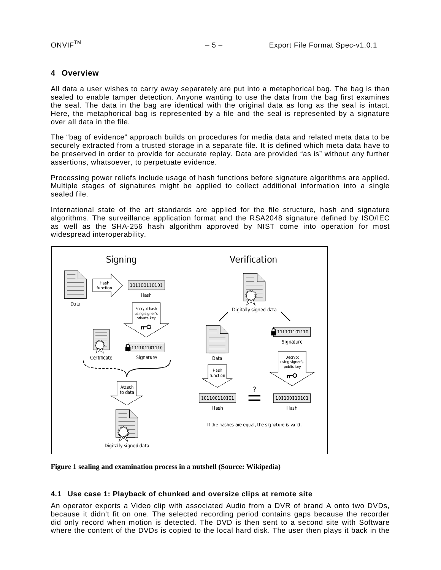#### <span id="page-4-0"></span>**4 Overview**

All data a user wishes to carry away separately are put into a metaphorical bag. The bag is than sealed to enable tamper detection. Anyone wanting to use the data from the bag first examines the seal. The data in the bag are identical with the original data as long as the seal is intact. Here, the metaphorical bag is represented by a file and the seal is represented by a signature over all data in the file.

The "bag of evidence" approach builds on procedures for media data and related meta data to be securely extracted from a trusted storage in a separate file. It is defined which meta data have to be preserved in order to provide for accurate replay. Data are provided "as is" without any further assertions, whatsoever, to perpetuate evidence.

Processing power reliefs include usage of hash functions before signature algorithms are applied. Multiple stages of signatures might be applied to collect additional information into a single sealed file.

International state of the art standards are applied for the file structure, hash and signature algorithms. The surveillance application format and the RSA2048 signature defined by ISO/IEC as well as the SHA-256 hash algorithm approved by NIST come into operation for most widespread interoperability.



**Figure 1 sealing and examination process in a nutshell (Source: Wikipedia)**

#### <span id="page-4-1"></span>**4.1 Use case 1: Playback of chunked and oversize clips at remote site**

An operator exports a Video clip with associated Audio from a DVR of brand A onto two DVDs, because it didn't fit on one. The selected recording period contains gaps because the recorder did only record when motion is detected. The DVD is then sent to a second site with Software where the content of the DVDs is copied to the local hard disk. The user then plays it back in the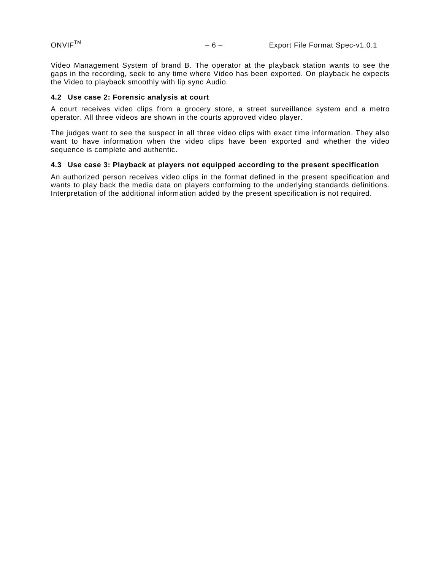Video Management System of brand B. The operator at the playback station wants to see the gaps in the recording, seek to any time where Video has been exported. On playback he expects the Video to playback smoothly with lip sync Audio.

#### <span id="page-5-0"></span>**4.2 Use case 2: Forensic analysis at court**

A court receives video clips from a grocery store, a street surveillance system and a metro operator. All three videos are shown in the courts approved video player.

The judges want to see the suspect in all three video clips with exact time information. They also want to have information when the video clips have been exported and whether the video sequence is complete and authentic.

#### <span id="page-5-1"></span>**4.3 Use case 3: Playback at players not equipped according to the present specification**

An authorized person receives video clips in the format defined in the present specification and wants to play back the media data on players conforming to the underlying standards definitions. Interpretation of the additional information added by the present specification is not required.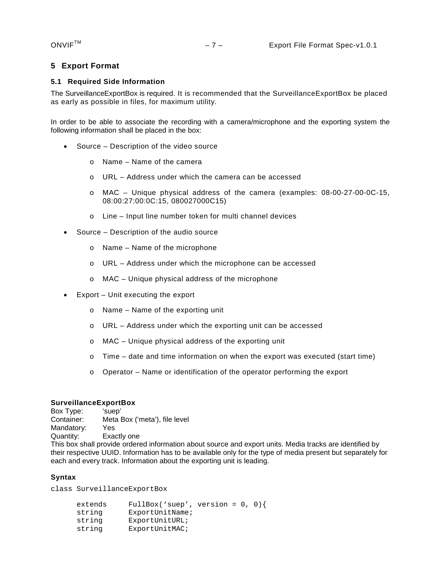#### <span id="page-6-0"></span>**5 Export Format**

#### <span id="page-6-1"></span>**5.1 Required Side Information**

The SurveillanceExportBox is required. It is recommended that the SurveillanceExportBox be placed as early as possible in files, for maximum utility.

In order to be able to associate the recording with a camera/microphone and the exporting system the following information shall be placed in the box:

- Source Description of the video source
	- $\circ$  Name Name of the camera
	- $\circ$  URL Address under which the camera can be accessed
	- o MAC Unique physical address of the camera (examples: 08-00-27-00-0C-15, 08:00:27:00:0C:15, 080027000C15)
	- o Line Input line number token for multi channel devices
- Source Description of the audio source
	- o Name Name of the microphone
	- o URL Address under which the microphone can be accessed
	- o MAC Unique physical address of the microphone
- Export Unit executing the export
	- o Name Name of the exporting unit
	- o URL Address under which the exporting unit can be accessed
	- o MAC Unique physical address of the exporting unit
	- $\circ$  Time date and time information on when the export was executed (start time)
	- $\circ$  Operator Name or identification of the operator performing the export

**SurveillanceExportBox**<br>Box Type: 'suep' Box Type:<br>Container: Meta Box ('meta'), file level<br>Yes Mandatory: Quantity: Exactly one This box shall provide ordered information about source and export units. Media tracks are identified by their respective UUID. Information has to be available only for the type of media present but separately for each and every track. Information about the exporting unit is leading.

#### **Syntax**

class SurveillanceExportBox

| extends | FullBox('suep', version = $0, 0$ } |  |  |
|---------|------------------------------------|--|--|
| string  | ExportUnitName;                    |  |  |
| string  | ExportUnitURL;                     |  |  |
| string  | ExportUnitMAC;                     |  |  |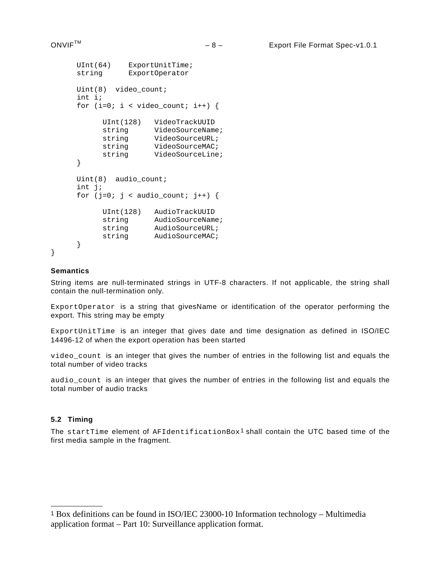```
UInt(64) ExportUnitTime;<br>string ExportOperator
              ExportOperator
Uint(8) video count;
int i;
for (i=0; i < video count; i++) {
        UInt(128) VideoTrackUUID
        string VideoSourceName;<br>string VideoSourceURL;
        string VideoSourceURL;<br>string VideoSourceMAC;
        string VideoSourceMAC;<br>string VideoSourceLine
                     VideoSourceLine;
}
Uint(8) audio_count;
int j;
for (j=0; j < \text{audio\_count}; j++) {
        UInt(128) AudioTrackUUID
        string AudioSourceName;<br>string AudioSourceURL;
       string AudioSourceURL;<br>string AudioSourceMAC;
                     AudioSourceMAC;
}
```
#### **Semantics**

}

String items are null-terminated strings in UTF-8 characters. If not applicable, the string shall contain the null-termination only.

ExportOperator is a string that givesName or identification of the operator performing the export. This string may be empty

ExportUnitTime is an integer that gives date and time designation as defined in ISO/IEC 14496-12 of when the export operation has been started

video\_count is an integer that gives the number of entries in the following list and equals the total number of video tracks

audio count is an integer that gives the number of entries in the following list and equals the total number of audio tracks

#### <span id="page-7-0"></span>**5.2 Timing**

————————————————————

The startTime element of  $AFIdentificationBox<sup>1</sup>$  $AFIdentificationBox<sup>1</sup>$  $AFIdentificationBox<sup>1</sup>$  shall contain the UTC based time of the first media sample in the fragment.

<span id="page-7-1"></span><sup>1</sup> Box definitions can be found in ISO/IEC 23000-10 Information technology – Multimedia application format – Part 10: Surveillance application format.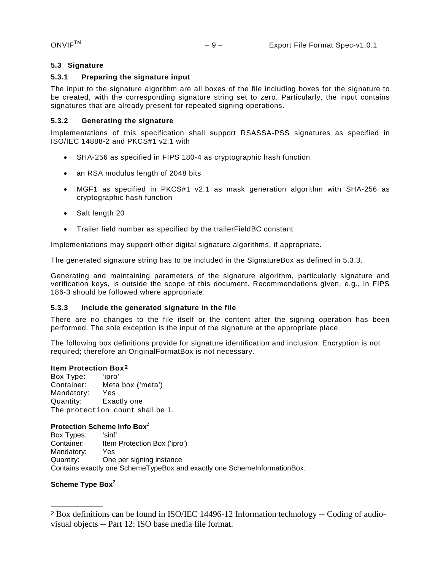#### <span id="page-8-0"></span>**5.3 Signature**

#### <span id="page-8-1"></span>**5.3.1 Preparing the signature input**

The input to the signature algorithm are all boxes of the file including boxes for the signature to be created, with the corresponding signature string set to zero. Particularly, the input contains signatures that are already present for repeated signing operations.

#### <span id="page-8-2"></span>**5.3.2 Generating the signature**

Implementations of this specification shall support RSASSA-PSS signatures as specified in ISO/IEC 14888-2 and PKCS#1 v2.1 with

- SHA-256 as specified in FIPS 180-4 as cryptographic hash function
- an RSA modulus length of 2048 bits
- MGF1 as specified in PKCS#1 v2.1 as mask generation algorithm with SHA-256 as cryptographic hash function
- Salt length 20
- Trailer field number as specified by the trailerFieldBC constant

Implementations may support other digital signature algorithms, if appropriate.

The generated signature string has to be included in the SignatureBox as defined in [5.3.3.](#page-8-3)

<span id="page-8-5"></span>Generating and maintaining parameters of the signature algorithm, particularly signature and verification keys, is outside the scope of this document. Recommendations given, e.g., in FIPS 186-3 should be followed where appropriate.

#### <span id="page-8-3"></span>**5.3.3 Include the generated signature in the file**

There are no changes to the file itself or the content after the signing operation has been performed. The sole exception is the input of the signature at the appropriate place.

The following box definitions provide for signature identification and inclusion. Encryption is not required; therefore an OriginalFormatBox is not necessary.

#### **Item Protection Box[2](#page-8-4)**

Box Type: 'ipro'<br>Container: Meta Meta box ('meta') Mandatory: Yes Quantity: Exactly one The protection count shall be 1.

#### **Protection Scheme Info Box**<sup>2</sup>

Box Types: 'sinf' Container: Item Protection Box ('ipro') Mandatory: Yes Quantity: One per signing instance Contains exactly one SchemeTypeBox and exactly one SchemeInformationBox.

#### Scheme Type Box<sup>2</sup>

————————————————————

<span id="page-8-4"></span><sup>2</sup> Box definitions can be found in ISO/IEC 14496-12 Information technology -- Coding of audiovisual objects -- Part 12: ISO base media file format.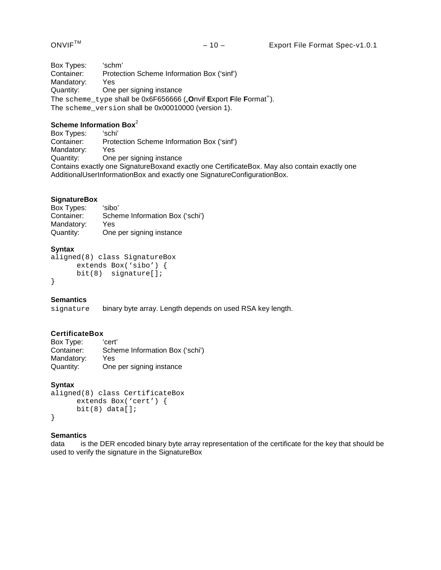Box Types: 'schm'<br>Container: Protec Protection Scheme Information Box ('sinf')<br>Yes Mandatory: Quantity: One per signing instance The scheme\_type shall be 0x6F656666 ("**O**nvif **E**xport **F**ile **F**ormat"). The scheme\_version shall be 0x00010000 (version 1).

# **Scheme Information Box<sup>2</sup><br>Box Types:** 'schi'

Box Types:<br>Container: Protection Scheme Information Box ('sinf')<br>Yes Mandatory:<br>Quantity: One per signing instance Contains exactly one SignatureBoxand exactly one CertificateBox. May also contain exactly one AdditionalUserInformationBox and exactly one SignatureConfigurationBox.

#### **SignatureBox**

Box Types: 'sibo'<br>Container: Sche Scheme Information Box ('schi') Mandatory: Yes<br>Quantity: One One per signing instance

#### **Syntax**

```
aligned(8) class SignatureBox 
      extends Box('sibo') {
      bit(8) signature[];
}
```
#### **Semantics**

signature binary byte array. Length depends on used RSA key length.

#### **CertificateBox**

| Box Type:  | 'cert'                          |
|------------|---------------------------------|
| Container: | Scheme Information Box ('schi') |
| Mandatory: | Yes.                            |
| Quantity:  | One per signing instance        |

#### **Syntax**

```
aligned(8) class CertificateBox 
      extends Box('cert') {
      bit(8) data[];
}
```
#### **Semantics**

data is the DER encoded binary byte array representation of the certificate for the key that should be used to verify the signature in the SignatureBox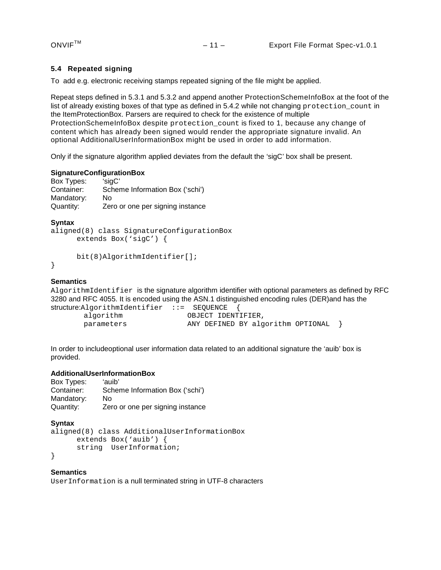#### <span id="page-10-0"></span>**5.4 Repeated signing**

To add e.g. electronic receiving stamps repeated signing of the file might be applied.

Repeat steps defined in [5.3.1](#page-8-1) and [5.3.2](#page-8-2) and append another ProtectionSchemeInfoBox at the foot of the list of already existing boxes of that type as defined in [5.4.2](#page-8-5) while not changing protection count in the ItemProtectionBox. Parsers are required to check for the existence of multiple ProtectionSchemeInfoBox despite protection count is fixed to 1, because any change of content which has already been signed would render the appropriate signature invalid. An optional AdditionalUserInformationBox might be used in order to add information.

Only if the signature algorithm applied deviates from the default the 'sigC' box shall be present.

#### **SignatureConfigurationBox**

| Box Types: | 'sigC'                           |
|------------|----------------------------------|
| Container: | Scheme Information Box ('schi')  |
| Mandatory: | Nο                               |
| Quantity:  | Zero or one per signing instance |

#### **Syntax**

```
aligned(8) class SignatureConfigurationBox 
      extends Box('sigC') {
```

```
bit(8)AlgorithmIdentifier[];
```
}

#### **Semantics**

AlgorithmIdentifier is the signature algorithm identifier with optional parameters as defined by RFC 3280 and RFC 4055. It is encoded using the ASN.1 distinguished encoding rules (DER)and has the

```
structure:AlgorithmIdentifier ::= SEQUENCE {
        algorithm OBJECT IDENTIFIER,<br>parameters ANY DEFINED BY alg
                                    ANY DEFINED BY algorithm OPTIONAL \}
```
In order to includeoptional user information data related to an additional signature the 'auib' box is provided.

# AdditionalUserInformationBox<br>Box Types: 'auib'

```
Box Types:<br>Container:
                    Scheme Information Box ('schi')
Mandatory: No<br>Quantity: Zer
                   Zero or one per signing instance
```

```
Syntax
```

```
aligned(8) class AdditionalUserInformationBox 
      extends Box('auib') {
      string UserInformation;
```
}

#### **Semantics**

UserInformation is a null terminated string in UTF-8 characters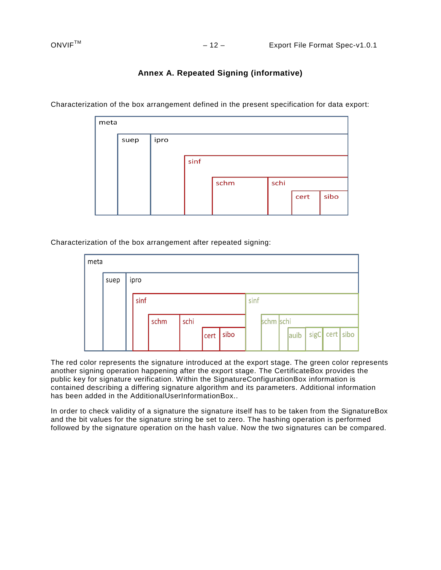### **Annex A. Repeated Signing (informative)**

| meta |      |      |      |      |      |      |      |
|------|------|------|------|------|------|------|------|
|      | suep | ipro |      |      |      |      |      |
|      |      |      |      |      |      |      |      |
|      |      |      | sinf |      |      |      |      |
|      |      |      |      |      |      |      |      |
|      |      |      |      | schm | schi |      |      |
|      |      |      |      |      |      | cert | sibo |
|      |      |      |      |      |      |      |      |

<span id="page-11-0"></span>Characterization of the box arrangement defined in the present specification for data export:

Characterization of the box arrangement after repeated signing:

| meta |      |  |      |      |      |      |      |      |           |      |                |  |
|------|------|--|------|------|------|------|------|------|-----------|------|----------------|--|
|      | suep |  | ipro |      |      |      |      |      |           |      |                |  |
|      |      |  | sinf |      |      |      |      | sinf |           |      |                |  |
|      |      |  |      | schm | schi |      |      |      | schm schi |      |                |  |
|      |      |  |      |      |      | cert | sibo |      |           | auib | sigC cert sibo |  |

The red color represents the signature introduced at the export stage. The green color represents another signing operation happening after the export stage. The CertificateBox provides the public key for signature verification. Within the SignatureConfigurationBox information is contained describing a differing signature algorithm and its parameters. Additional information has been added in the AdditionalUserInformationBox..

In order to check validity of a signature the signature itself has to be taken from the SignatureBox and the bit values for the signature string be set to zero. The hashing operation is performed followed by the signature operation on the hash value. Now the two signatures can be compared.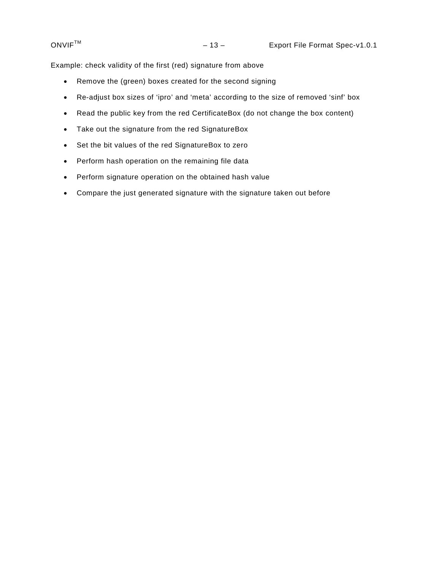Example: check validity of the first (red) signature from above

- Remove the (green) boxes created for the second signing
- Re-adjust box sizes of 'ipro' and 'meta' according to the size of removed 'sinf' box
- Read the public key from the red CertificateBox (do not change the box content)
- Take out the signature from the red SignatureBox
- Set the bit values of the red SignatureBox to zero
- Perform hash operation on the remaining file data
- Perform signature operation on the obtained hash value
- Compare the just generated signature with the signature taken out before